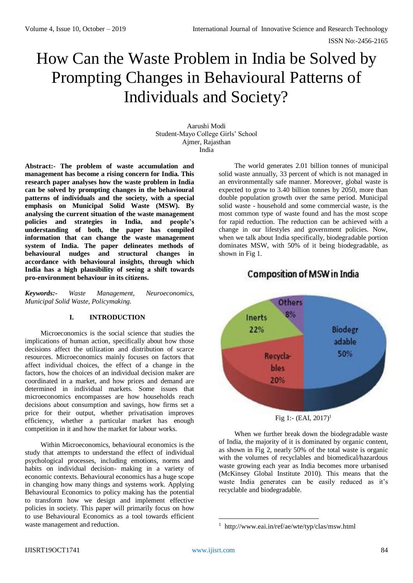ISSN No:-2456-2165

# How Can the Waste Problem in India be Solved by Prompting Changes in Behavioural Patterns of Individuals and Society?

Aarushi Modi Student-Mayo College Girls' School Ajmer, Rajasthan India

**Abstract:- The problem of waste accumulation and management has become a rising concern for India. This research paper analyses how the waste problem in India can be solved by prompting changes in the behavioural patterns of individuals and the society, with a special emphasis on Municipal Solid Waste (MSW). By analysing the current situation of the waste management policies and strategies in India, and people's understanding of both, the paper has compiled information that can change the waste management system of India. The paper delineates methods of behavioural nudges and structural changes in accordance with behavioural insights, through which India has a high plausibility of seeing a shift towards pro-environment behaviour in its citizens.**

*Keywords:- Waste Management, Neuroeconomics, Municipal Solid Waste, Policymaking.*

# **I. INTRODUCTION**

Microeconomics is the social science that studies the implications of human action, specifically about how those decisions affect the utilization and distribution of scarce resources. Microeconomics mainly focuses on factors that affect individual choices, the effect of a change in the factors, how the choices of an individual decision maker are coordinated in a market, and how prices and demand are determined in individual markets. Some issues that microeconomics encompasses are how households reach decisions about consumption and savings, how firms set a price for their output, whether privatisation improves efficiency, whether a particular market has enough competition in it and how the market for labour works.

Within Microeconomics, behavioural economics is the study that attempts to understand the effect of individual psychological processes, including emotions, norms and habits on individual decision- making in a variety of economic contexts. Behavioural economics has a huge scope in changing how many things and systems work. Applying Behavioural Economics to policy making has the potential to transform how we design and implement effective policies in society. This paper will primarily focus on how to use Behavioural Economics as a tool towards efficient waste management and reduction.

The world generates 2.01 billion tonnes of municipal solid waste annually, 33 percent of which is not managed in an environmentally safe manner. Moreover, global waste is expected to grow to 3.40 billion tonnes by 2050, more than double population growth over the same period. Municipal solid waste - household and some commercial waste, is the most common type of waste found and has the most scope for rapid reduction. The reduction can be achieved with a change in our lifestyles and government policies. Now, when we talk about India specifically, biodegradable portion dominates MSW, with 50% of it being biodegradable, as shown in Fig 1.

# **Composition of MSW in India**





When we further break down the biodegradable waste of India, the majority of it is dominated by organic content, as shown in Fig 2, nearly 50% of the total waste is organic with the volumes of recyclables and biomedical/hazardous waste growing each year as India becomes more urbanised (McKinsey Global Institute 2010). This means that the waste India generates can be easily reduced as it's recyclable and biodegradable.

**<sup>.</sup>** <sup>1</sup> <http://www.eai.in/ref/ae/wte/typ/clas/msw.html>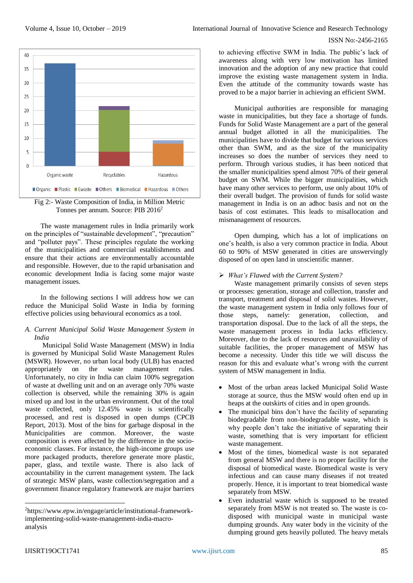#### ISSN No:-2456-2165





The waste management rules in India primarily work on the principles of "sustainable development", "precaution" and "polluter pays". These principles regulate the working of the municipalities and commercial establishments and ensure that their actions are environmentally accountable and responsible. However, due to the rapid urbanisation and economic development India is facing some major waste management issues.

In the following sections I will address how we can reduce the Municipal Solid Waste in India by forming effective policies using behavioural economics as a tool.

#### *A. Current Municipal Solid Waste Management System in India*

Municipal Solid Waste Management (MSW) in India is governed by Municipal Solid Waste Management Rules (MSWR). However, no urban local body (ULB) has enacted appropriately on the waste management rules. Unfortunately, no city in India can claim 100% segregation of waste at dwelling unit and on an average only 70% waste collection is observed, while the remaining 30% is again mixed up and lost in the urban environment. Out of the total waste collected, only 12.45% waste is scientifically processed, and rest is disposed in open dumps (CPCB Report, 2013). Most of the bins for garbage disposal in the Municipalities are common. Moreover, the waste composition is even affected by the difference in the socioeconomic classes. For instance, the high-income groups use more packaged products, therefore generate more plastic, paper, glass, and textile waste. There is also lack of accountability in the current management system. The lack of strategic MSW plans, waste collection/segregation and a government finance regulatory framework are major barriers

to achieving effective SWM in India. The public's lack of awareness along with very low motivation has limited innovation and the adoption of any new practice that could improve the existing waste management system in India. Even the attitude of the community towards waste has proved to be a major barrier in achieving an efficient SWM.

Municipal authorities are responsible for managing waste in municipalities, but they face a shortage of funds. Funds for Solid Waste Management are a part of the general annual budget allotted in all the municipalities. The municipalities have to divide that budget for various services other than SWM, and as the size of the municipality increases so does the number of services they need to perform. Through various studies, it has been noticed that the smaller municipalities spend almost 70% of their general budget on SWM. While the bigger municipalities, which have many other services to perform, use only about 10% of their overall budget. The provision of funds for solid waste management in India is on an adhoc basis and not on the basis of cost estimates. This leads to misallocation and mismanagement of resources.

Open dumping, which has a lot of implications on one's health, is also a very common practice in India. About 60 to 90% of MSW generated in cities are unswervingly disposed of on open land in unscientific manner.

## *What's Flawed with the Current System?*

Waste management primarily consists of seven steps or processes: generation, storage and collection, transfer and transport, treatment and disposal of solid wastes. However, the waste management system in India only follows four of those steps, namely: generation, collection, and transportation disposal. Due to the lack of all the steps, the waste management process in India lacks efficiency. Moreover, due to the lack of resources and unavailability of suitable facilities, the proper management of MSW has become a necessity. Under this title we will discuss the reason for this and evaluate what's wrong with the current system of MSW management in India.

- Most of the urban areas lacked Municipal Solid Waste storage at source, thus the MSW would often end up in heaps at the outskirts of cities and in open grounds.
- The municipal bins don't have the facility of separating biodegradable from non-biodegradable waste, which is why people don't take the initiative of separating their waste, something that is very important for efficient waste management.
- Most of the times, biomedical waste is not separated from general MSW and there is no proper facility for the disposal of biomedical waste. Biomedical waste is very infectious and can cause many diseases if not treated properly. Hence, it is important to treat biomedical waste separately from MSW.
- Even industrial waste which is supposed to be treated separately from MSW is not treated so. The waste is codisposed with municipal waste in municipal waste dumping grounds. Any water body in the vicinity of the dumping ground gets heavily polluted. The heavy metals

<sup>2</sup>[https://www.epw.in/engage/article/institutional-framework](https://www.epw.in/engage/article/institutional-framework-implementing-solid-waste-management-india-macro-analysis)[implementing-solid-waste-management-india-macro](https://www.epw.in/engage/article/institutional-framework-implementing-solid-waste-management-india-macro-analysis)[analysis](https://www.epw.in/engage/article/institutional-framework-implementing-solid-waste-management-india-macro-analysis)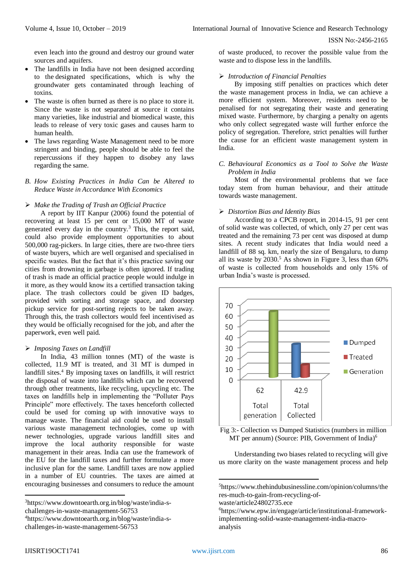even leach into the ground and destroy our ground water sources and aquifers.

- The landfills in India have not been designed according to the designated specifications, which is why the groundwater gets contaminated through leaching of toxins.
- The waste is often burned as there is no place to store it. Since the waste is not separated at source it contains many varieties, like industrial and biomedical waste, this leads to release of very toxic gases and causes harm to human health.
- The laws regarding Waste Management need to be more stringent and binding, people should be able to feel the repercussions if they happen to disobey any laws regarding the same.

#### *B. How Existing Practices in India Can be Altered to Reduce Waste in Accordance With Economics*

## *Make the Trading of Trash an Official Practice*

A report by IIT Kanpur (2006) found the potential of recovering at least 15 per cent or 15,000 MT of waste generated every day in the country.<sup>3</sup> This, the report said, could also provide employment opportunities to about 500,000 rag-pickers. In large cities, there are two-three tiers of waste buyers, which are well organised and specialised in specific wastes. But the fact that it's this practice saving our cities from drowning in garbage is often ignored. If trading of trash is made an official practice people would indulge in it more, as they would know its a certified transaction taking place. The trash collectors could be given ID badges, provided with sorting and storage space, and doorstep pickup service for post-sorting rejects to be taken away. Through this, the trash collectors would feel incentivised as they would be officially recognised for the job, and after the paperwork, even well paid.

#### *Imposing Taxes on Landfill*

In India, 43 million tonnes (MT) of the waste is collected, 11.9 MT is treated, and 31 MT is dumped in landfill sites.<sup>4</sup> By imposing taxes on landfills, it will restrict the disposal of waste into landfills which can be recovered through other treatments, like recycling, upcycling etc. The taxes on landfills help in implementing the "Polluter Pays Principle" more effectively. The taxes henceforth collected could be used for coming up with innovative ways to manage waste. The financial aid could be used to install various waste management technologies, come up with newer technologies, upgrade various landfill sites and improve the local authority responsible for waste management in their areas. India can use the framework of the EU for the landfill taxes and further formulate a more inclusive plan for the same. Landfill taxes are now applied in a number of EU countries. The taxes are aimed at encouraging businesses and consumers to reduce the amount

[challenges-in-waste-management-56753](https://www.downtoearth.org.in/blog/waste/india-s-challenges-in-waste-management-56753)

4[https://www.downtoearth.org.in/blog/waste/india-s](https://www.downtoearth.org.in/blog/waste/india-s-challenges-in-waste-management-56753)[challenges-in-waste-management-56753](https://www.downtoearth.org.in/blog/waste/india-s-challenges-in-waste-management-56753)

of waste produced, to recover the possible value from the waste and to dispose less in the landfills.

#### *Introduction of Financial Penalties*

By imposing stiff penalties on practices which deter the waste management process in India, we can achieve a more efficient system. Moreover, residents need to be penalised for not segregating their waste and generating mixed waste. Furthermore, by charging a penalty on agents who only collect segregated waste will further enforce the policy of segregation. Therefore, strict penalties will further the cause for an efficient waste management system in India.

#### *C. Behavioural Economics as a Tool to Solve the Waste Problem in India*

Most of the environmental problems that we face today stem from human behaviour, and their attitude towards waste management.

#### *Distortion Bias and Identity Bias*

According to a CPCB report, in 2014-15, 91 per cent of solid waste was collected, of which, only 27 per cent was treated and the remaining 73 per cent was disposed at dump sites. A recent study indicates that India would need a landfill of 88 sq. km, nearly the size of Bengaluru, to dump all its waste by  $2030$ .<sup>5</sup> As shown in Figure 3, less than  $60\%$ of waste is collected from households and only 15% of urban India's waste is processed.





Understanding two biases related to recycling will give us more clarity on the waste management process and help

**.** 

<sup>3</sup>[https://www.downtoearth.org.in/blog/waste/india-s-](https://www.downtoearth.org.in/blog/waste/india-s-challenges-in-waste-management-56753)

<sup>5</sup>[https://www.thehindubusinessline.com/opinion/columns/the](https://www.thehindubusinessline.com/opinion/columns/theres-much-to-gain-from-recycling-of-waste/article24802735.ece) [res-much-to-gain-from-recycling-of-](https://www.thehindubusinessline.com/opinion/columns/theres-much-to-gain-from-recycling-of-waste/article24802735.ece)

[waste/article24802735.ece](https://www.thehindubusinessline.com/opinion/columns/theres-much-to-gain-from-recycling-of-waste/article24802735.ece)

<sup>6</sup>[https://www.epw.in/engage/article/institutional-framework](https://www.epw.in/engage/article/institutional-framework-implementing-solid-waste-management-india-macro-analysis)[implementing-solid-waste-management-india-macro](https://www.epw.in/engage/article/institutional-framework-implementing-solid-waste-management-india-macro-analysis)[analysis](https://www.epw.in/engage/article/institutional-framework-implementing-solid-waste-management-india-macro-analysis)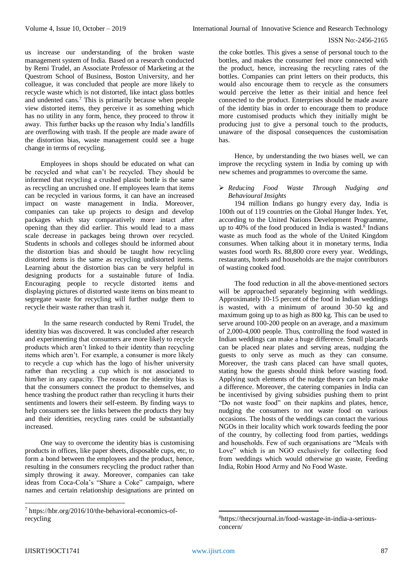us increase our understanding of the broken waste management system of India. Based on a research conducted by Remi Trudel, an Associate Professor of Marketing at the Questrom School of Business, Boston University, and her colleague, it was concluded that people are more likely to recycle waste which is not distorted, like intact glass bottles and undented cans.<sup>7</sup> This is primarily because when people view distorted items, they perceive it as something which has no utility in any form, hence, they proceed to throw it away. This further backs up the reason why India's landfills are overflowing with trash. If the people are made aware of the distortion bias, waste management could see a huge change in terms of recycling.

Employees in shops should be educated on what can be recycled and what can't be recycled. They should be informed that recycling a crushed plastic bottle is the same as recycling an uncrushed one. If employees learn that items can be recycled in various forms, it can have an increased impact on waste management in India. Moreover, companies can take up projects to design and develop packages which stay comparatively more intact after opening than they did earlier. This would lead to a mass scale decrease in packages being thrown over recycled. Students in schools and colleges should be informed about the distortion bias and should be taught how recycling distorted items is the same as recycling undistorted items. Learning about the distortion bias can be very helpful in designing products for a sustainable future of India. Encouraging people to recycle distorted items and displaying pictures of distorted waste items on bins meant to segregate waste for recycling will further nudge them to recycle their waste rather than trash it.

In the same research conducted by Remi Trudel, the identity bias was discovered. It was concluded after research and experimenting that consumers are more likely to recycle products which aren't linked to their identity than recycling items which aren't. For example, a consumer is more likely to recycle a cup which has the logo of his/her university rather than recycling a cup which is not associated to him/her in any capacity. The reason for the identity bias is that the consumers connect the product to themselves, and hence trashing the product rather than recycling it hurts their sentiments and lowers their self-esteem. By finding ways to help consumers see the links between the products they buy and their identities, recycling rates could be substantially increased.

One way to overcome the identity bias is customising products in offices, like paper sheets, disposable cups, etc, to form a bond between the employees and the product, hence, resulting in the consumers recycling the product rather than simply throwing it away. Moreover, companies can take ideas from Coca-Cola's "Share a Coke" campaign, where names and certain relationship designations are printed on

the coke bottles. This gives a sense of personal touch to the bottles, and makes the consumer feel more connected with the product, hence, increasing the recycling rates of the bottles. Companies can print letters on their products, this would also encourage them to recycle as the consumers would perceive the letter as their initial and hence feel connected to the product. Enterprises should be made aware of the identity bias in order to encourage them to produce more customised products which they initially might be producing just to give a personal touch to the products, unaware of the disposal consequences the customisation has.

Hence, by understanding the two biases well, we can improve the recycling system in India by coming up with new schemes and programmes to overcome the same.

#### *Reducing Food Waste Through Nudging and Behavioural Insights*

194 million Indians go hungry every day, India is 100th out of 119 countries on the Global Hunger Index. Yet, according to the United Nations Development Programme, up to 40% of the food produced in India is wasted.<sup>8</sup> Indians waste as much food as the whole of the United Kingdom consumes. When talking about it in monetary terms, India wastes food worth Rs. 88,800 crore every year. Weddings, restaurants, hotels and households are the major contributors of wasting cooked food.

The food reduction in all the above-mentioned sectors will be approached separately beginning with weddings. Approximately 10-15 percent of the food in Indian weddings is wasted, with a minimum of around 30-50 kg and maximum going up to as high as 800 kg. This can be used to serve around 100-200 people on an average, and a maximum of 2,000-4,000 people. Thus, controlling the food wasted in Indian weddings can make a huge difference. Small placards can be placed near plates and serving areas, nudging the guests to only serve as much as they can consume. Moreover, the trash cans placed can have small quotes, stating how the guests should think before wasting food. Applying such elements of the nudge theory can help make a difference. Moreover, the catering companies in India can be incentivised by giving subsidies pushing them to print "Do not waste food" on their napkins and plates, hence, nudging the consumers to not waste food on various occasions. The hosts of the weddings can contact the various NGOs in their locality which work towards feeding the poor of the country, by collecting food from parties, weddings and households. Few of such organisations are "Meals with Love" which is an NGO exclusively for collecting food from weddings which would otherwise go waste, Feeding India, Robin Hood Army and No Food Waste.

<sup>7</sup> [https://hbr.org/2016/10/the-behavioral-economics-of](https://hbr.org/2016/10/the-behavioral-economics-of-recycling)[recycling](https://hbr.org/2016/10/the-behavioral-economics-of-recycling)

<sup>1</sup> 8[https://thecsrjournal.in/food-wastage-in-india-a-serious](https://thecsrjournal.in/food-wastage-in-india-a-serious-concern/)[concern/](https://thecsrjournal.in/food-wastage-in-india-a-serious-concern/)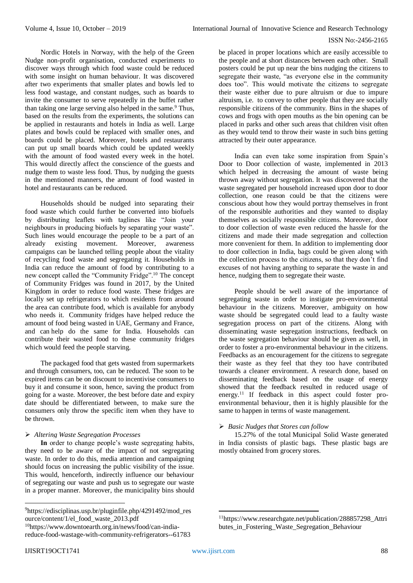Nordic Hotels in Norway, with the help of the Green Nudge non-profit organisation, conducted experiments to discover ways through which food waste could be reduced with some insight on human behaviour. It was discovered after two experiments that smaller plates and bowls led to less food wastage, and constant nudges, such as boards to invite the consumer to serve repeatedly in the buffet rather than taking one large serving also helped in the same.<sup>9</sup> Thus, based on the results from the experiments, the solutions can be applied in restaurants and hotels in India as well. Large plates and bowls could be replaced with smaller ones, and boards could be placed. Moreover, hotels and restaurants can put up small boards which could be updated weekly with the amount of food wasted every week in the hotel. This would directly affect the conscience of the guests and nudge them to waste less food. Thus, by nudging the guests in the mentioned manners, the amount of food wasted in hotel and restaurants can be reduced.

Households should be nudged into separating their food waste which could further be converted into biofuels by distributing leaflets with taglines like "Join your neighbours in producing biofuels by separating your waste". Such lines would encourage the people to be a part of an already existing movement. Moreover, awareness campaigns can be launched telling people about the vitality of recycling food waste and segregating it. Households in India can reduce the amount of food by contributing to a new concept called the "Community Fridge".<sup>10</sup> The concept of Community Fridges was found in 2017, by the United Kingdom in order to reduce food waste. These fridges are locally set up refrigerators to which residents from around the area can contribute food, which is available for anybody who needs it. Community fridges have helped reduce the amount of food being wasted in UAE, Germany and France, and can help do the same for India. Households can contribute their wasted food to these community fridges which would feed the people starving.

The packaged food that gets wasted from supermarkets and through consumers, too, can be reduced. The soon to be expired items can be on discount to incentivise consumers to buy it and consume it soon, hence, saving the product from going for a waste. Moreover, the best before date and expiry date should be differentiated between, to make sure the consumers only throw the specific item when they have to be thrown.

#### *Altering Waste Segregation Processes*

**In** order to change people's waste segregating habits, they need to be aware of the impact of not segregating waste. In order to do this, media attention and campaigning should focus on increasing the public visibility of the issue. This would, henceforth, indirectly influence our behaviour of segregating our waste and push us to segregate our waste in a proper manner. Moreover, the municipality bins should

 $9$ [https://edisciplinas.usp.br/pluginfile.php/4291492/mod\\_res](https://edisciplinas.usp.br/pluginfile.php/4291492/mod_resource/content/1/el_food_waste_2013.pdf) [ource/content/1/el\\_food\\_waste\\_2013.pdf](https://edisciplinas.usp.br/pluginfile.php/4291492/mod_resource/content/1/el_food_waste_2013.pdf)

be placed in proper locations which are easily accessible to the people and at short distances between each other. Small posters could be put up near the bins nudging the citizens to segregate their waste, "as everyone else in the community does too". This would motivate the citizens to segregate their waste either due to pure altruism or due to impure altruism, i.e. to convey to other people that they are socially responsible citizens of the community. Bins in the shapes of cows and frogs with open mouths as the bin opening can be placed in parks and other such areas that children visit often as they would tend to throw their waste in such bins getting attracted by their outer appearance.

India can even take some inspiration from Spain's Door to Door collection of waste, implemented in 2013 which helped in decreasing the amount of waste being thrown away without segregation. It was discovered that the waste segregated per household increased upon door to door collection, one reason could be that the citizens were conscious about how they would portray themselves in front of the responsible authorities and they wanted to display themselves as socially responsible citizens. Moreover, door to door collection of waste even reduced the hassle for the citizens and made their made segregation and collection more convenient for them. In addition to implementing door to door collection in India, bags could be given along with the collection process to the citizens, so that they don't find excuses of not having anything to separate the waste in and hence, nudging them to segregate their waste.

People should be well aware of the importance of segregating waste in order to instigate pro-environmental behaviour in the citizens. Moreover, ambiguity on how waste should be segregated could lead to a faulty waste segregation process on part of the citizens. Along with disseminating waste segregation instructions, feedback on the waste segregation behaviour should be given as well, in order to foster a pro-environmental behaviour in the citizens. Feedbacks as an encouragement for the citizens to segregate their waste as they feel that they too have contributed towards a cleaner environment. A research done, based on disseminating feedback based on the usage of energy showed that the feedback resulted in reduced usage of energy.<sup>11</sup> If feedback in this aspect could foster proenvironmental behaviour, then it is highly plausible for the same to happen in terms of waste management.

#### *Basic Nudges that Stores can follow*

15.27% of the total Municipal Solid Waste generated in India consists of plastic bags. These plastic bags are mostly obtained from grocery stores.

1

<sup>10</sup>[https://www.downtoearth.org.in/news/food/can-india](https://www.downtoearth.org.in/news/food/can-india-reduce-food-wastage-with-community-refrigerators--61783)[reduce-food-wastage-with-community-refrigerators--61783](https://www.downtoearth.org.in/news/food/can-india-reduce-food-wastage-with-community-refrigerators--61783)

<sup>11</sup>[https://www.researchgate.net/publication/288857298\\_Attri](https://www.researchgate.net/publication/288857298_Attributes_in_Fostering_Waste_Segregation_Behaviour) butes in Fostering Waste Segregation Behaviour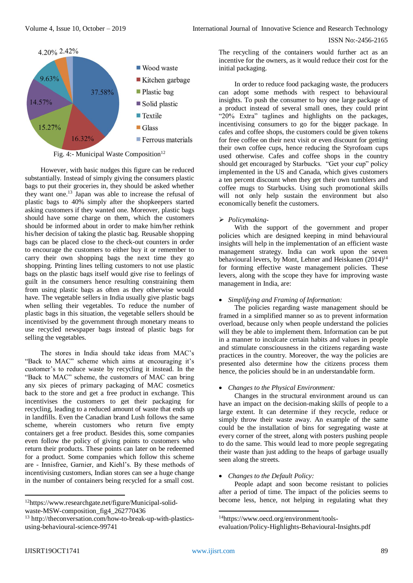

Fig. 4:- Municipal Waste Composition<sup>12</sup>

However, with basic nudges this figure can be reduced substantially. Instead of simply giving the consumers plastic bags to put their groceries in, they should be asked whether they want one.<sup>13</sup> Japan was able to increase the refusal of plastic bags to 40% simply after the shopkeepers started asking customers if they wanted one. Moreover, plastic bags should have some charge on them, which the customers should be informed about in order to make him/her rethink his/her decision of taking the plastic bag. Reusable shopping bags can be placed close to the check-out counters in order to encourage the customers to either buy it or remember to carry their own shopping bags the next time they go shopping. Printing lines telling customers to not use plastic bags on the plastic bags itself would give rise to feelings of guilt in the consumers hence resulting constraining them from using plastic bags as often as they otherwise would have. The vegetable sellers in India usually give plastic bags when selling their vegetables. To reduce the number of plastic bags in this situation, the vegetable sellers should be incentivised by the government through monetary means to use recycled newspaper bags instead of plastic bags for selling the vegetables.

The stores in India should take ideas from MAC's "Back to MAC" scheme which aims at encouraging it's customer's to reduce waste by recycling it instead. In the "Back to MAC" scheme, the customers of MAC can bring any six pieces of primary packaging of MAC cosmetics back to the store and get a free product in exchange. This incentivises the customers to get their packaging for recycling, leading to a reduced amount of waste that ends up in landfills. Even the Canadian brand Lush follows the same scheme, wherein customers who return five empty containers get a free product. Besides this, some companies even follow the policy of giving points to customers who return their products. These points can later on be redeemed for a product. Some companies which follow this scheme are - Innisfree, Garnier, and Kiehl's. By these methods of incentivising customers, Indian stores can see a huge change in the number of containers being recycled for a small cost.

The recycling of the containers would further act as an incentive for the owners, as it would reduce their cost for the initial packaging.

In order to reduce food packaging waste, the producers can adopt some methods with respect to behavioural insights. To push the consumer to buy one large package of a product instead of several small ones, they could print "20% Extra" taglines and highlights on the packages, incentivising consumers to go for the bigger package. In cafes and coffee shops, the customers could be given tokens for free coffee on their next visit or even discount for getting their own coffee cups, hence reducing the Styrofoam cups used otherwise. Cafes and coffee shops in the country should get encouraged by Starbucks. "Get your cup" policy implemented in the US and Canada, which gives customers a ten percent discount when they get their own tumblers and coffee mugs to Starbucks. Using such promotional skills will not only help sustain the environment but also economically benefit the customers.

# *Policymaking-*

With the support of the government and proper policies which are designed keeping in mind behavioural insights will help in the implementation of an efficient waste management strategy. India can work upon the seven behavioural levers, by Mont, Lehner and Heiskanen  $(2014)^{14}$ for forming effective waste management policies. These levers, along with the scope they have for improving waste management in India, are:

#### *Simplifying and Framing of Information:*

The policies regarding waste management should be framed in a simplified manner so as to prevent information overload, because only when people understand the policies will they be able to implement them. Information can be put in a manner to inculcate certain habits and values in people and stimulate consciousness in the citizens regarding waste practices in the country. Moreover, the way the policies are presented also determine how the citizens process them hence, the policies should be in an understandable form.

# *Changes to the Physical Environment:*

Changes in the structural environment around us can have an impact on the decision-making skills of people to a large extent. It can determine if they recycle, reduce or simply throw their waste away. An example of the same could be the installation of bins for segregating waste at every corner of the street, along with posters pushing people to do the same. This would lead to more people segregating their waste than just adding to the heaps of garbage usually seen along the streets.

#### *Changes to the Default Policy:*

People adapt and soon become resistant to policies after a period of time. The impact of the policies seems to become less, hence, not helping in regulating what they

**.** 

<sup>12</sup>[https://www.researchgate.net/figure/Municipal-solid](https://www.researchgate.net/figure/Municipal-solid-waste-MSW-composition_fig4_262770436)[waste-MSW-composition\\_fig4\\_262770436](https://www.researchgate.net/figure/Municipal-solid-waste-MSW-composition_fig4_262770436)

<sup>&</sup>lt;sup>13</sup> [http://theconversation.com/how-to-break-up-with-plastics](http://theconversation.com/how-to-break-up-with-plastics-using-behavioural-science-99741)[using-behavioural-science-99741](http://theconversation.com/how-to-break-up-with-plastics-using-behavioural-science-99741)

<sup>14</sup>[https://www.oecd.org/environment/tools-](https://www.oecd.org/environment/tools-evaluation/Policy-Highlights-Behavioural-Insights.pdf)

[evaluation/Policy-Highlights-Behavioural-Insights.pdf](https://www.oecd.org/environment/tools-evaluation/Policy-Highlights-Behavioural-Insights.pdf)